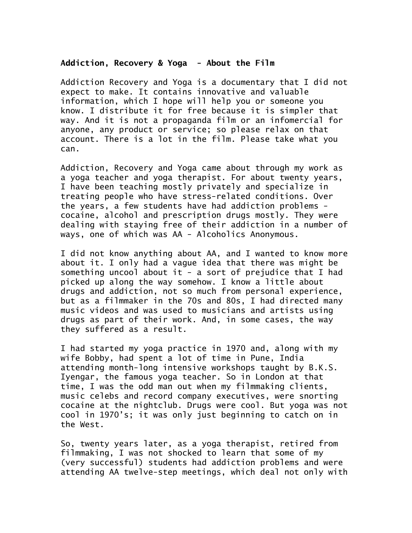## **Addiction, Recovery & Yoga - About the Film**

Addiction Recovery and Yoga is a documentary that I did not expect to make. It contains innovative and valuable information, which I hope will help you or someone you know. I distribute it for free because it is simpler that way. And it is not a propaganda film or an infomercial for anyone, any product or service; so please relax on that account. There is a lot in the film. Please take what you can.

Addiction, Recovery and Yoga came about through my work as a yoga teacher and yoga therapist. For about twenty years, I have been teaching mostly privately and specialize in treating people who have stress-related conditions. Over the years, a few students have had addiction problems cocaine, alcohol and prescription drugs mostly. They were dealing with staying free of their addiction in a number of ways, one of which was AA - Alcoholics Anonymous.

I did not know anything about AA, and I wanted to know more about it. I only had a vague idea that there was might be something uncool about it - a sort of prejudice that I had picked up along the way somehow. I know a little about drugs and addiction, not so much from personal experience, but as a filmmaker in the 70s and 80s, I had directed many music videos and was used to musicians and artists using drugs as part of their work. And, in some cases, the way they suffered as a result.

I had started my yoga practice in 1970 and, along with my wife Bobby, had spent a lot of time in Pune, India attending month-long intensive workshops taught by B.K.S. Iyengar, the famous yoga teacher. So in London at that time, I was the odd man out when my filmmaking clients, music celebs and record company executives, were snorting cocaine at the nightclub. Drugs were cool. But yoga was not cool in 1970's; it was only just beginning to catch on in the West.

So, twenty years later, as a yoga therapist, retired from filmmaking, I was not shocked to learn that some of my (very successful) students had addiction problems and were attending AA twelve-step meetings, which deal not only with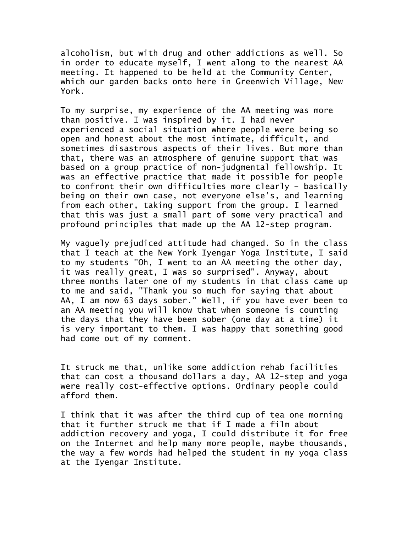alcoholism, but with drug and other addictions as well. So in order to educate myself, I went along to the nearest AA meeting. It happened to be held at the Community Center, which our garden backs onto here in Greenwich Village, New York.

To my surprise, my experience of the AA meeting was more than positive. I was inspired by it. I had never experienced a social situation where people were being so open and honest about the most intimate, difficult, and sometimes disastrous aspects of their lives. But more than that, there was an atmosphere of genuine support that was based on a group practice of non-judgmental fellowship. It was an effective practice that made it possible for people to confront their own difficulties more clearly – basically being on their own case, not everyone else's, and learning from each other, taking support from the group. I learned that this was just a small part of some very practical and profound principles that made up the AA 12-step program.

My vaguely prejudiced attitude had changed. So in the class that I teach at the New York Iyengar Yoga Institute, I said to my students "Oh, I went to an AA meeting the other day, it was really great, I was so surprised". Anyway, about three months later one of my students in that class came up to me and said, "Thank you so much for saying that about AA, I am now 63 days sober." Well, if you have ever been to an AA meeting you will know that when someone is counting the days that they have been sober (one day at a time) it is very important to them. I was happy that something good had come out of my comment.

It struck me that, unlike some addiction rehab facilities that can cost a thousand dollars a day, AA 12-step and yoga were really cost-effective options. Ordinary people could afford them.

I think that it was after the third cup of tea one morning that it further struck me that if I made a film about addiction recovery and yoga, I could distribute it for free on the Internet and help many more people, maybe thousands, the way a few words had helped the student in my yoga class at the Iyengar Institute.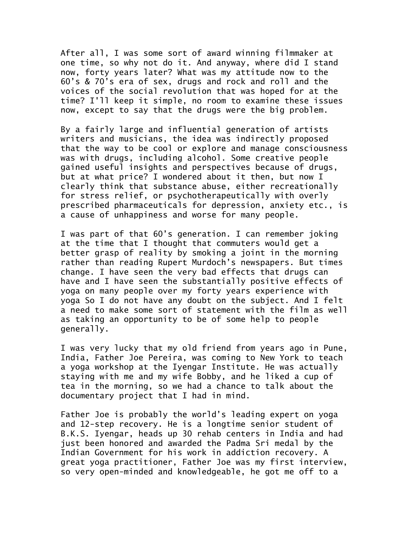After all, I was some sort of award winning filmmaker at one time, so why not do it. And anyway, where did I stand now, forty years later? What was my attitude now to the 60's & 70's era of sex, drugs and rock and roll and the voices of the social revolution that was hoped for at the time? I'll keep it simple, no room to examine these issues now, except to say that the drugs were the big problem.

By a fairly large and influential generation of artists writers and musicians, the idea was indirectly proposed that the way to be cool or explore and manage consciousness was with drugs, including alcohol. Some creative people gained useful insights and perspectives because of drugs, but at what price? I wondered about it then, but now I clearly think that substance abuse, either recreationally for stress relief, or psychotherapeutically with overly prescribed pharmaceuticals for depression, anxiety etc., is a cause of unhappiness and worse for many people.

I was part of that 60's generation. I can remember joking at the time that I thought that commuters would get a better grasp of reality by smoking a joint in the morning rather than reading Rupert Murdoch's newspapers. But times change. I have seen the very bad effects that drugs can have and I have seen the substantially positive effects of yoga on many people over my forty years experience with yoga So I do not have any doubt on the subject. And I felt a need to make some sort of statement with the film as well as taking an opportunity to be of some help to people generally.

I was very lucky that my old friend from years ago in Pune, India, Father Joe Pereira, was coming to New York to teach a yoga workshop at the Iyengar Institute. He was actually staying with me and my wife Bobby, and he liked a cup of tea in the morning, so we had a chance to talk about the documentary project that I had in mind.

Father Joe is probably the world's leading expert on yoga and 12-step recovery. He is a longtime senior student of B.K.S. Iyengar, heads up 30 rehab centers in India and had just been honored and awarded the Padma Sri medal by the Indian Government for his work in addiction recovery. A great yoga practitioner, Father Joe was my first interview, so very open-minded and knowledgeable, he got me off to a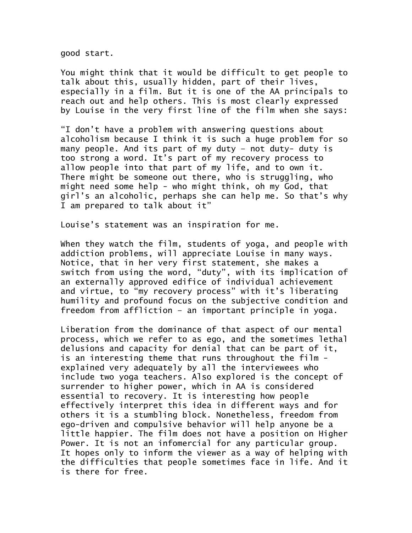good start.

You might think that it would be difficult to get people to talk about this, usually hidden, part of their lives, especially in a film. But it is one of the AA principals to reach out and help others. This is most clearly expressed by Louise in the very first line of the film when she says:

"I don't have a problem with answering questions about alcoholism because I think it is such a huge problem for so many people. And its part of my duty – not duty- duty is too strong a word. It's part of my recovery process to allow people into that part of my life, and to own it. There might be someone out there, who is struggling, who might need some help - who might think, oh my God, that girl's an alcoholic, perhaps she can help me. So that's why I am prepared to talk about it"

Louise's statement was an inspiration for me.

When they watch the film, students of yoga, and people with addiction problems, will appreciate Louise in many ways. Notice, that in her very first statement, she makes a switch from using the word, "duty", with its implication of an externally approved edifice of individual achievement and virtue, to "my recovery process" with it's liberating humility and profound focus on the subjective condition and freedom from affliction – an important principle in yoga.

Liberation from the dominance of that aspect of our mental process, which we refer to as ego, and the sometimes lethal delusions and capacity for denial that can be part of it, is an interesting theme that runs throughout the film explained very adequately by all the interviewees who include two yoga teachers. Also explored is the concept of surrender to higher power, which in AA is considered essential to recovery. It is interesting how people effectively interpret this idea in different ways and for others it is a stumbling block. Nonetheless, freedom from ego-driven and compulsive behavior will help anyone be a little happier. The film does not have a position on Higher Power. It is not an infomercial for any particular group. It hopes only to inform the viewer as a way of helping with the difficulties that people sometimes face in life. And it is there for free.